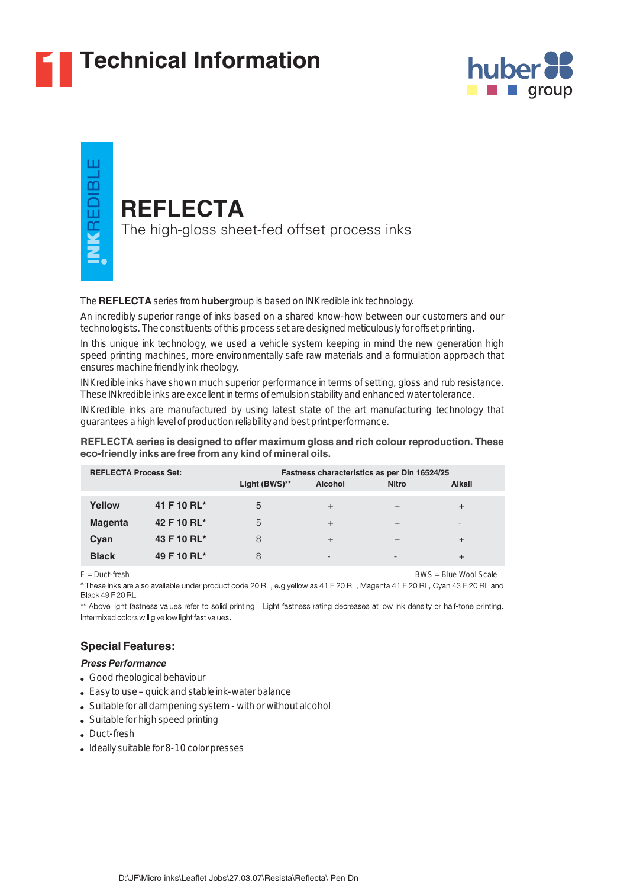

# **1 Technical Information**



# ш VKREDIBL

# **REFLECTA**

The high-gloss sheet-fed offset process inks

#### The **REFLECTA** series from **huber** group is based on INKredible ink technology.

An incredibly superior range of inks based on a shared know-how between our customers and our technologists. The constituents of this process set are designed meticulously for offset printing.

In this unique ink technology, we used a vehicle system keeping in mind the new generation high speed printing machines, more environmentally safe raw materials and a formulation approach that ensures machine friendly ink rheology.

INKredible inks have shown much superior performance in terms of setting, gloss and rub resistance. These INkredible inks are excellent in terms of emulsion stability and enhanced water tolerance.

INKredible inks are manufactured by using latest state of the art manufacturing technology that guarantees a high level of production reliability and best print performance.

#### **REFLECTA series is designed to offer maximum gloss and rich colour reproduction. These eco-friendly inks are free from any kind of mineral oils.**

| <b>REFLECTA Process Set:</b> |             | Fastness characteristics as per Din 16524/25 |                          |              |        |
|------------------------------|-------------|----------------------------------------------|--------------------------|--------------|--------|
|                              |             | Light (BWS)**                                | <b>Alcohol</b>           | <b>Nitro</b> | Alkali |
| Yellow                       | 41 F 10 RL* | 5                                            | $^{+}$                   | $^{+}$       | $^{+}$ |
| <b>Magenta</b>               | 42 F 10 RL* | 5                                            | $^{+}$                   | $^{+}$       |        |
| Cyan                         | 43 F 10 RL* | 8                                            | $^{+}$                   | $^{+}$       | $^{+}$ |
| <b>Black</b>                 | 49 F 10 RL* | 8                                            | $\overline{\phantom{0}}$ |              | $^{+}$ |

F = Duct-fresh BWS = Blue Wool Scale

\* These inks are also available under product code 20 RL, e.g yellow as 41 F 20 RL, Magenta 41 F 20 RL, Cyan 43 F 20 RL and<br>Black 49 F 20 RL

\*\* Above light fastness values refer to solid printing. Light fastness rating decreases at low ink density or half-tone printing. Intermixed colors will give low light fast values.

## **Special Features:**

### *Press Performance*

- Good rheological behaviour
- Easy to use quick and stable ink-water balance
- Suitable for all dampening system with or without alcohol
- Suitable for high speed printing
- Duct-fresh
- Ideally suitable for 8-10 color presses